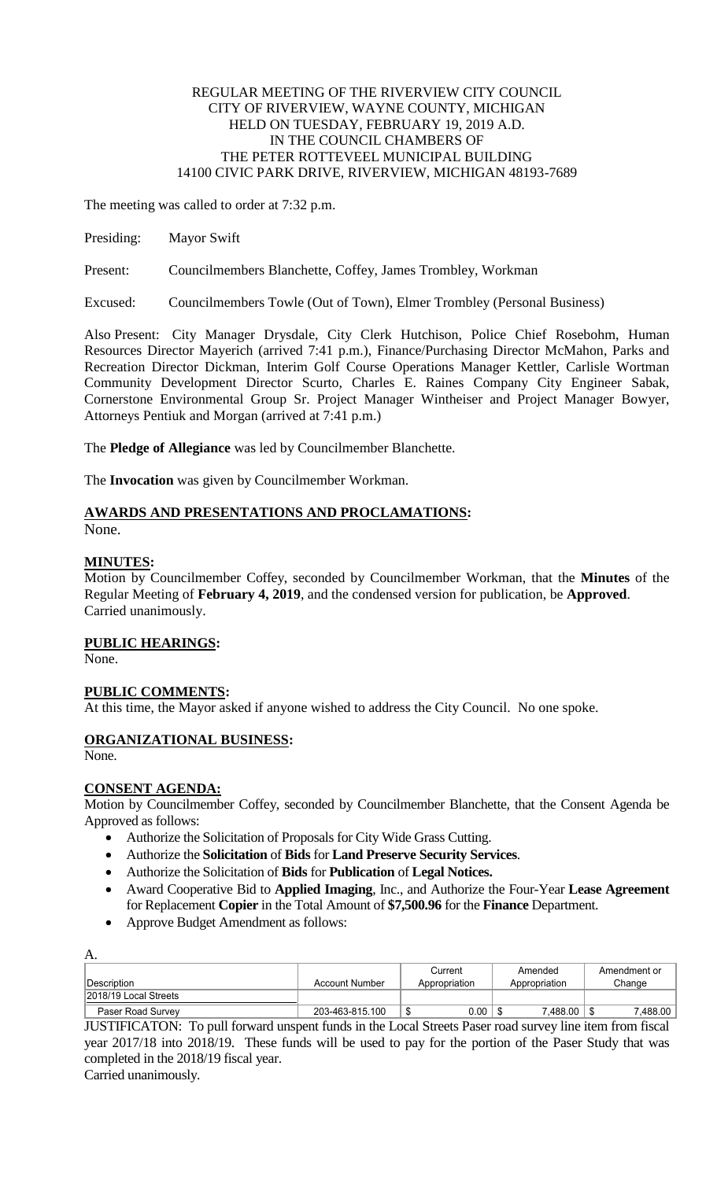#### REGULAR MEETING OF THE RIVERVIEW CITY COUNCIL CITY OF RIVERVIEW, WAYNE COUNTY, MICHIGAN HELD ON TUESDAY, FEBRUARY 19, 2019 A.D. IN THE COUNCIL CHAMBERS OF THE PETER ROTTEVEEL MUNICIPAL BUILDING 14100 CIVIC PARK DRIVE, RIVERVIEW, MICHIGAN 48193-7689

The meeting was called to order at 7:32 p.m.

Presiding: Mayor Swift

Present: Councilmembers Blanchette, Coffey, James Trombley, Workman

Excused: Councilmembers Towle (Out of Town), Elmer Trombley (Personal Business)

Also Present: City Manager Drysdale, City Clerk Hutchison, Police Chief Rosebohm, Human Resources Director Mayerich (arrived 7:41 p.m.), Finance/Purchasing Director McMahon, Parks and Recreation Director Dickman, Interim Golf Course Operations Manager Kettler, Carlisle Wortman Community Development Director Scurto, Charles E. Raines Company City Engineer Sabak, Cornerstone Environmental Group Sr. Project Manager Wintheiser and Project Manager Bowyer, Attorneys Pentiuk and Morgan (arrived at 7:41 p.m.)

The **Pledge of Allegiance** was led by Councilmember Blanchette.

The **Invocation** was given by Councilmember Workman.

# **AWARDS AND PRESENTATIONS AND PROCLAMATIONS:**

None.

## **MINUTES:**

Motion by Councilmember Coffey, seconded by Councilmember Workman, that the **Minutes** of the Regular Meeting of **February 4, 2019**, and the condensed version for publication, be **Approved**. Carried unanimously.

## **PUBLIC HEARINGS:**

None.

## **PUBLIC COMMENTS:**

At this time, the Mayor asked if anyone wished to address the City Council. No one spoke.

## **ORGANIZATIONAL BUSINESS:**

None.

## **CONSENT AGENDA:**

Motion by Councilmember Coffey, seconded by Councilmember Blanchette, that the Consent Agenda be Approved as follows:

- Authorize the Solicitation of Proposals for City Wide Grass Cutting.
- Authorize the **Solicitation** of **Bids** for **Land Preserve Security Services**.
- Authorize the Solicitation of **Bids** for **Publication** of **Legal Notices.**
- Award Cooperative Bid to **Applied Imaging**, Inc., and Authorize the Four-Year **Lease Agreement** for Replacement **Copier** in the Total Amount of **\$7,500.96** for the **Finance** Department.
- Approve Budget Amendment as follows:

| A.                    |                       |               |               |              |
|-----------------------|-----------------------|---------------|---------------|--------------|
|                       |                       | Current       | Amended       | Amendment or |
| <b>IDescription</b>   | <b>Account Number</b> | Appropriation | Appropriation | Change       |
| 2018/19 Local Streets |                       |               |               |              |
| Paser Road Survey     | 203-463-815.100       | 0.00<br>- 44  | 7.488.00      | 7,488.00     |

JUSTIFICATON: To pull forward unspent funds in the Local Streets Paser road survey line item from fiscal year 2017/18 into 2018/19. These funds will be used to pay for the portion of the Paser Study that was completed in the 2018/19 fiscal year.

Carried unanimously.